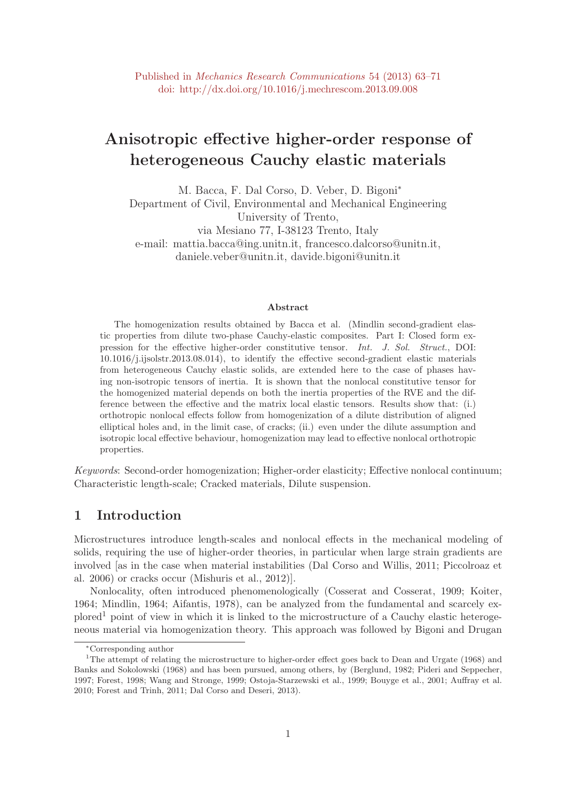# Anisotropic effective higher-order response of heterogeneous Cauchy elastic materials

M. Bacca, F. Dal Corso, D. Veber, D. Bigoni<sup>∗</sup> Department of Civil, Environmental and Mechanical Engineering University of Trento, via Mesiano 77, I-38123 Trento, Italy e-mail: mattia.bacca@ing.unitn.it, francesco.dalcorso@unitn.it, daniele.veber@unitn.it, davide.bigoni@unitn.it

#### Abstract

The homogenization results obtained by Bacca et al. (Mindlin second-gradient elastic properties from dilute two-phase Cauchy-elastic composites. Part I: Closed form expression for the effective higher-order constitutive tensor. Int. J. Sol. Struct., DOI: 10.1016/j.ijsolstr.2013.08.014), to identify the effective second-gradient elastic materials from heterogeneous Cauchy elastic solids, are extended here to the case of phases having non-isotropic tensors of inertia. It is shown that the nonlocal constitutive tensor for the homogenized material depends on both the inertia properties of the RVE and the difference between the effective and the matrix local elastic tensors. Results show that: (i.) orthotropic nonlocal effects follow from homogenization of a dilute distribution of aligned elliptical holes and, in the limit case, of cracks; (ii.) even under the dilute assumption and isotropic local effective behaviour, homogenization may lead to effective nonlocal orthotropic properties.

Keywords: Second-order homogenization; Higher-order elasticity; Effective nonlocal continuum; Characteristic length-scale; Cracked materials, Dilute suspension.

## 1 Introduction

Microstructures introduce length-scales and nonlocal effects in the mechanical modeling of solids, requiring the use of higher-order theories, in particular when large strain gradients are involved [as in the case when material instabilities (Dal Corso and Willis, 2011; Piccolroaz et al. 2006) or cracks occur (Mishuris et al., 2012)].

Nonlocality, often introduced phenomenologically (Cosserat and Cosserat, 1909; Koiter, 1964; Mindlin, 1964; Aifantis, 1978), can be analyzed from the fundamental and scarcely ex $p^{\text{long}}$  point of view in which it is linked to the microstructure of a Cauchy elastic heterogeneous material via homogenization theory. This approach was followed by Bigoni and Drugan

<sup>∗</sup>Corresponding author

<sup>&</sup>lt;sup>1</sup>The attempt of relating the microstructure to higher-order effect goes back to Dean and Urgate (1968) and Banks and Sokolowski (1968) and has been pursued, among others, by (Berglund, 1982; Pideri and Seppecher, 1997; Forest, 1998; Wang and Stronge, 1999; Ostoja-Starzewski et al., 1999; Bouyge et al., 2001; Auffray et al. 2010; Forest and Trinh, 2011; Dal Corso and Deseri, 2013).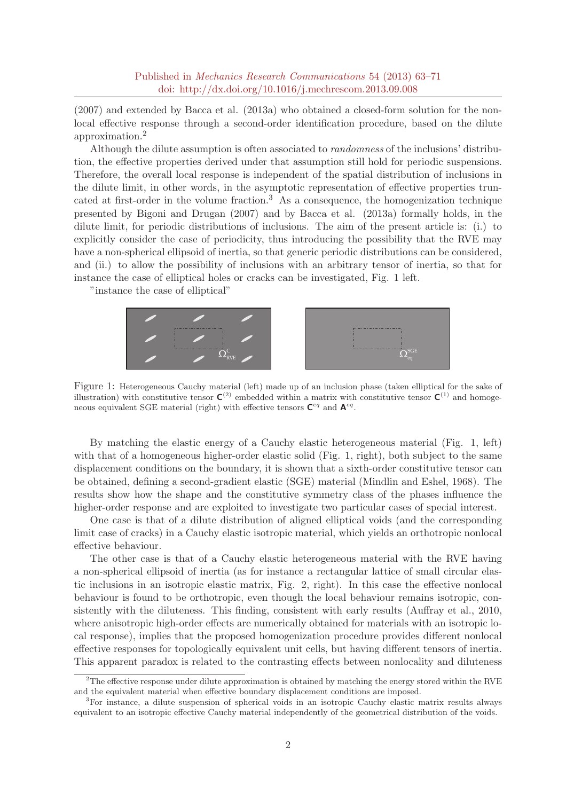(2007) and extended by Bacca et al. (2013a) who obtained a closed-form solution for the nonlocal effective response through a second-order identification procedure, based on the dilute approximation.<sup>2</sup>

Although the dilute assumption is often associated to randomness of the inclusions' distribution, the effective properties derived under that assumption still hold for periodic suspensions. Therefore, the overall local response is independent of the spatial distribution of inclusions in the dilute limit, in other words, in the asymptotic representation of effective properties truncated at first-order in the volume fraction.<sup>3</sup> As a consequence, the homogenization technique presented by Bigoni and Drugan (2007) and by Bacca et al. (2013a) formally holds, in the dilute limit, for periodic distributions of inclusions. The aim of the present article is: (i.) to explicitly consider the case of periodicity, thus introducing the possibility that the RVE may have a non-spherical ellipsoid of inertia, so that generic periodic distributions can be considered, and (ii.) to allow the possibility of inclusions with an arbitrary tensor of inertia, so that for instance the case of elliptical holes or cracks can be investigated, Fig. 1 left.

"instance the case of elliptical"



Figure 1: Heterogeneous Cauchy material (left) made up of an inclusion phase (taken elliptical for the sake of illustration) with constitutive tensor  $C^{(2)}$  embedded within a matrix with constitutive tensor  $C^{(1)}$  and homogeneous equivalent SGE material (right) with effective tensors  $\mathbf{C}^{eq}$  and  $\mathbf{A}^{eq}$ .

By matching the elastic energy of a Cauchy elastic heterogeneous material (Fig. 1, left) with that of a homogeneous higher-order elastic solid (Fig. 1, right), both subject to the same displacement conditions on the boundary, it is shown that a sixth-order constitutive tensor can be obtained, defining a second-gradient elastic (SGE) material (Mindlin and Eshel, 1968). The results show how the shape and the constitutive symmetry class of the phases influence the higher-order response and are exploited to investigate two particular cases of special interest.

One case is that of a dilute distribution of aligned elliptical voids (and the corresponding limit case of cracks) in a Cauchy elastic isotropic material, which yields an orthotropic nonlocal effective behaviour.

The other case is that of a Cauchy elastic heterogeneous material with the RVE having a non-spherical ellipsoid of inertia (as for instance a rectangular lattice of small circular elastic inclusions in an isotropic elastic matrix, Fig. 2, right). In this case the effective nonlocal behaviour is found to be orthotropic, even though the local behaviour remains isotropic, consistently with the diluteness. This finding, consistent with early results (Auffray et al., 2010, where anisotropic high-order effects are numerically obtained for materials with an isotropic local response), implies that the proposed homogenization procedure provides different nonlocal effective responses for topologically equivalent unit cells, but having different tensors of inertia. This apparent paradox is related to the contrasting effects between nonlocality and diluteness

<sup>&</sup>lt;sup>2</sup>The effective response under dilute approximation is obtained by matching the energy stored within the RVE and the equivalent material when effective boundary displacement conditions are imposed.

<sup>3</sup>For instance, a dilute suspension of spherical voids in an isotropic Cauchy elastic matrix results always equivalent to an isotropic effective Cauchy material independently of the geometrical distribution of the voids.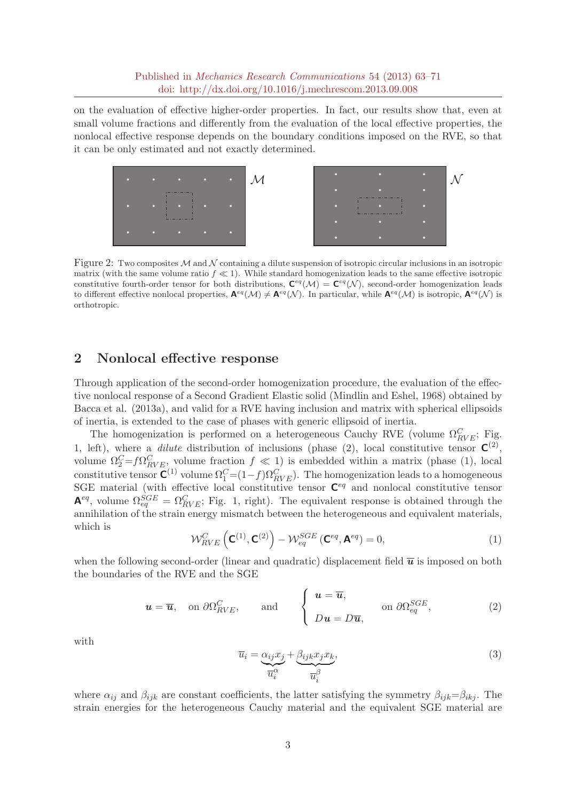on the evaluation of effective higher-order properties. In fact, our results show that, even at small volume fractions and differently from the evaluation of the local effective properties, the nonlocal effective response depends on the boundary conditions imposed on the RVE, so that it can be only estimated and not exactly determined.



Figure 2: Two composites M and N containing a dilute suspension of isotropic circular inclusions in an isotropic matrix (with the same volume ratio  $f \ll 1$ ). While standard homogenization leads to the same effective isotropic constitutive fourth-order tensor for both distributions,  $\mathbf{C}^{eq}(\mathcal{M}) = \mathbf{C}^{eq}(\mathcal{N})$ , second-order homogenization leads to different effective nonlocal properties,  $A^{eq}(\mathcal{M}) \neq A^{eq}(\mathcal{N})$ . In particular, while  $A^{eq}(\mathcal{M})$  is isotropic,  $A^{eq}(\mathcal{N})$  is orthotropic.

## 2 Nonlocal effective response

Through application of the second-order homogenization procedure, the evaluation of the effective nonlocal response of a Second Gradient Elastic solid (Mindlin and Eshel, 1968) obtained by Bacca et al. (2013a), and valid for a RVE having inclusion and matrix with spherical ellipsoids of inertia, is extended to the case of phases with generic ellipsoid of inertia.

The homogenization is performed on a heterogeneous Cauchy RVE (volume  $\Omega_{RVE}^C$ ; Fig. 1, left), where a *dilute* distribution of inclusions (phase (2), local constitutive tensor  $\mathbf{C}^{(2)}$ , volume  $\Omega_2^C = f \Omega_{RVE}^C$ , volume fraction  $f \ll 1$ ) is embedded within a matrix (phase (1), local constitutive tensor  $\mathbf{C}^{(1)}$  volume  $\Omega_1^C = (1-f)\Omega_{RVE}^C$ . The homogenization leads to a homogeneous SGE material (with effective local constitutive tensor  $\mathbf{C}^{eq}$  and nonlocal constitutive tensor  $\mathbf{A}^{eq}$ , volume  $\Omega_{eq}^{SGE} = \Omega_{RVE}^C$ ; Fig. 1, right). The equivalent response is obtained through the annihilation of the strain energy mismatch between the heterogeneous and equivalent materials, which is

$$
\mathcal{W}_{RVE}^{C}\left(\mathbf{C}^{(1)},\mathbf{C}^{(2)}\right) - \mathcal{W}_{eq}^{SGE}\left(\mathbf{C}^{eq},\mathbf{A}^{eq}\right) = 0, \tag{1}
$$

when the following second-order (linear and quadratic) displacement field  $\bar{u}$  is imposed on both the boundaries of the RVE and the SGE

$$
\mathbf{u} = \overline{\mathbf{u}}, \text{ on } \partial \Omega_{RVE}^C, \text{ and } \begin{cases} \mathbf{u} = \overline{\mathbf{u}}, \\ D\mathbf{u} = D\overline{\mathbf{u}}, \text{ on } \partial \Omega_{eq}^{SGE}, \end{cases} (2)
$$

with

$$
\overline{u}_i = \underbrace{\alpha_{ij} x_j}_{\overline{u}_i^{\alpha}} + \underbrace{\beta_{ijk} x_j x_k}_{\overline{u}_i^{\beta}},\tag{3}
$$

where  $\alpha_{ij}$  and  $\beta_{ijk}$  are constant coefficients, the latter satisfying the symmetry  $\beta_{ijk}=\beta_{ikj}$ . The strain energies for the heterogeneous Cauchy material and the equivalent SGE material are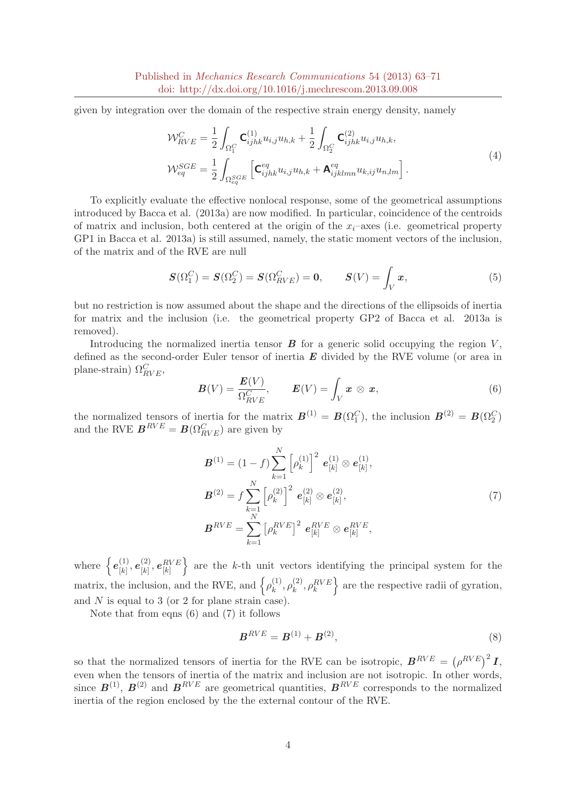given by integration over the domain of the respective strain energy density, namely

$$
\mathcal{W}_{RVE}^{C} = \frac{1}{2} \int_{\Omega_{1}^{C}} \mathbf{C}_{ijhk}^{(1)} u_{i,j} u_{h,k} + \frac{1}{2} \int_{\Omega_{2}^{C}} \mathbf{C}_{ijhk}^{(2)} u_{i,j} u_{h,k},
$$
\n
$$
\mathcal{W}_{eq}^{SGE} = \frac{1}{2} \int_{\Omega_{eq}^{SGE}} \left[ \mathbf{C}_{ijhk}^{eq} u_{i,j} u_{h,k} + \mathbf{A}_{ijklmn}^{eq} u_{k,ij} u_{n,lm} \right].
$$
\n(4)

To explicitly evaluate the effective nonlocal response, some of the geometrical assumptions introduced by Bacca et al. (2013a) are now modified. In particular, coincidence of the centroids of matrix and inclusion, both centered at the origin of the  $x_i$ –axes (i.e. geometrical property GP1 in Bacca et al. 2013a) is still assumed, namely, the static moment vectors of the inclusion, of the matrix and of the RVE are null

$$
\mathbf{S}(\Omega_1^C) = \mathbf{S}(\Omega_2^C) = \mathbf{S}(\Omega_{RVE}^C) = \mathbf{0}, \qquad \mathbf{S}(V) = \int_V \mathbf{x}, \tag{5}
$$

but no restriction is now assumed about the shape and the directions of the ellipsoids of inertia for matrix and the inclusion (i.e. the geometrical property GP2 of Bacca et al. 2013a is removed).

Introducing the normalized inertia tensor  $\bf{B}$  for a generic solid occupying the region  $V$ , defined as the second-order Euler tensor of inertia  $E$  divided by the RVE volume (or area in plane-strain)  $\Omega_{RVE}^C$ ,

$$
\boldsymbol{B}(V) = \frac{\boldsymbol{E}(V)}{\Omega_{RVE}^C}, \qquad \boldsymbol{E}(V) = \int_V \boldsymbol{x} \otimes \boldsymbol{x}, \tag{6}
$$

the normalized tensors of inertia for the matrix  $\mathbf{B}^{(1)} = \mathbf{B}(\Omega_1^C)$ , the inclusion  $\mathbf{B}^{(2)} = \mathbf{B}(\Omega_2^C)$ and the RVE  $\boldsymbol{B}^{RVE} = \boldsymbol{B}(\Omega_{RVE}^{C})$  are given by

$$
\mathbf{B}^{(1)} = (1 - f) \sum_{k=1}^{N} \left[ \rho_k^{(1)} \right]^2 \mathbf{e}_{[k]}^{(1)} \otimes \mathbf{e}_{[k]}^{(1)},
$$
  

$$
\mathbf{B}^{(2)} = f \sum_{k=1}^{N} \left[ \rho_k^{(2)} \right]^2 \mathbf{e}_{[k]}^{(2)} \otimes \mathbf{e}_{[k]}^{(2)},
$$
  

$$
\mathbf{B}^{RVE} = \sum_{k=1}^{N} \left[ \rho_k^{RVE} \right]^2 \mathbf{e}_{[k]}^{RVE} \otimes \mathbf{e}_{[k]}^{RVE},
$$
  
(7)

where  $\{e_{\scriptscriptstyle[k]}^{(1)}\}$  $\begin{bmatrix} (1) \ [k] \end{bmatrix}, \boldsymbol e_{[k]}^{(2)}$  $\left[ \begin{smallmatrix} (2) \ [k] \end{smallmatrix} \right], \bm{e}^{RVE}_{[k]}$  $\}$  are the k-th unit vectors identifying the principal system for the matrix, the inclusion, and the RVE, and  $\{\rho_k^{(1)}\}$  $\hat{\rho}_{k}^{(1)},\rho_{k}^{(2)}$  $\left\{k^{(2)}, \rho_k^{RVE}\right\}$  are the respective radii of gyration, and  $N$  is equal to 3 (or 2 for plane strain case).

Note that from eqns  $(6)$  and  $(7)$  it follows

$$
B^{RVE} = B^{(1)} + B^{(2)},\tag{8}
$$

so that the normalized tensors of inertia for the RVE can be isotropic,  $B^{RVE} = (\rho^{RVE})^2 I$ , even when the tensors of inertia of the matrix and inclusion are not isotropic. In other words, since  $B^{(1)}$ ,  $B^{(2)}$  and  $B^{RVE}$  are geometrical quantities,  $B^{RVE}$  corresponds to the normalized inertia of the region enclosed by the the external contour of the RVE.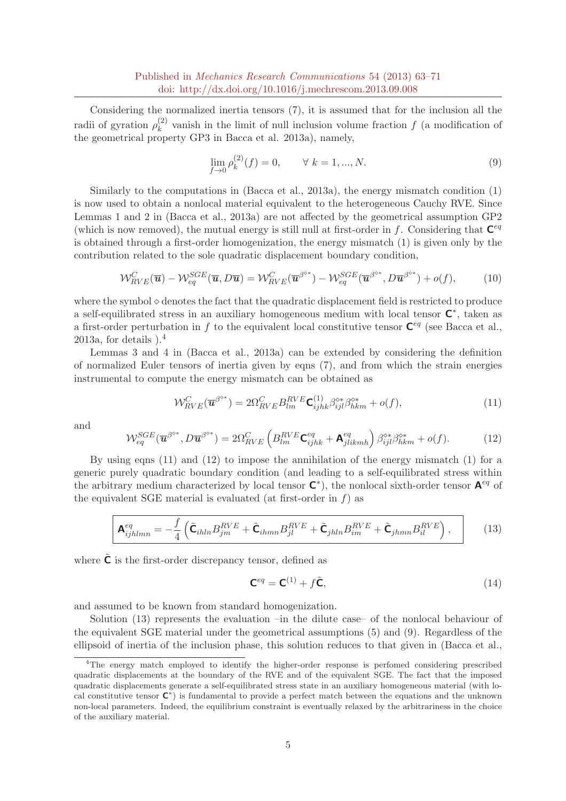Considering the normalized inertia tensors (7), it is assumed that for the inclusion all the radii of gyration  $\rho_k^{(2)}$  $\kappa_k^{(2)}$  vanish in the limit of null inclusion volume fraction f (a modification of the geometrical property GP3 in Bacca et al. 2013a), namely,

$$
\lim_{f \to 0} \rho_k^{(2)}(f) = 0, \qquad \forall \ k = 1, ..., N. \tag{9}
$$

Similarly to the computations in (Bacca et al., 2013a), the energy mismatch condition (1) is now used to obtain a nonlocal material equivalent to the heterogeneous Cauchy RVE. Since Lemmas 1 and 2 in (Bacca et al., 2013a) are not affected by the geometrical assumption GP2 (which is now removed), the mutual energy is still null at first-order in f. Considering that  $\mathbf{C}^{eq}$ is obtained through a first-order homogenization, the energy mismatch (1) is given only by the contribution related to the sole quadratic displacement boundary condition,

$$
\mathcal{W}_{RVE}^{C}(\overline{\mathbf{u}}) - \mathcal{W}_{eq}^{SGE}(\overline{\mathbf{u}}, D\overline{\mathbf{u}}) = \mathcal{W}_{RVE}^{C}(\overline{\mathbf{u}}^{\beta^{o*}}) - \mathcal{W}_{eq}^{SGE}(\overline{\mathbf{u}}^{\beta^{o*}}, D\overline{\mathbf{u}}^{\beta^{o*}}) + o(f),
$$
(10)

where the symbol  $\diamond$  denotes the fact that the quadratic displacement field is restricted to produce a self-equilibrated stress in an auxiliary homogeneous medium with local tensor  $\mathsf{C}^*$ , taken as a first-order perturbation in f to the equivalent local constitutive tensor  $\mathbf{C}^{eq}$  (see Bacca et al., 2013a, for details  $\mathcal{L}^4$ 

Lemmas 3 and 4 in (Bacca et al., 2013a) can be extended by considering the definition of normalized Euler tensors of inertia given by eqns (7), and from which the strain energies instrumental to compute the energy mismatch can be obtained as

$$
\mathcal{W}_{RVE}^{C}(\overline{\mathbf{u}}^{\beta^{o*}}) = 2\Omega_{RVE}^{C} B_{lm}^{RVE} \mathbf{C}_{ijhk}^{(1)} \beta_{ijl}^{\diamond*} \beta_{hkm}^{\diamond*} + o(f), \tag{11}
$$

and

$$
\mathcal{W}_{eq}^{SGE}(\overline{\mathbf{u}}^{\beta^{o*}}, D\overline{\mathbf{u}}^{\beta^{o*}}) = 2\Omega_{RVE}^{C} \left( B_{lm}^{RVE} \mathbf{C}_{ijhk}^{eq} + \mathbf{A}_{jlikmh}^{eq} \right) \beta_{ijl}^{o*} \beta_{hkm}^{o*} + o(f). \tag{12}
$$

By using eqns  $(11)$  and  $(12)$  to impose the annihilation of the energy mismatch  $(1)$  for a generic purely quadratic boundary condition (and leading to a self-equilibrated stress within the arbitrary medium characterized by local tensor  $\mathsf{C}^*$ ), the nonlocal sixth-order tensor  $\mathsf{A}^{eq}$  of the equivalent SGE material is evaluated (at first-order in  $f$ ) as

$$
\mathbf{A}_{ijhlmn}^{eq} = -\frac{f}{4} \left( \tilde{\mathbf{C}}_{ihln} B_{jm}^{RVE} + \tilde{\mathbf{C}}_{ihmn} B_{jl}^{RVE} + \tilde{\mathbf{C}}_{jhln} B_{im}^{RVE} + \tilde{\mathbf{C}}_{jhmn} B_{il}^{RVE} \right), \tag{13}
$$

where  $\mathsf C$  is the first-order discrepancy tensor, defined as

$$
\mathbf{C}^{eq} = \mathbf{C}^{(1)} + f\tilde{\mathbf{C}},\tag{14}
$$

and assumed to be known from standard homogenization.

Solution (13) represents the evaluation –in the dilute case– of the nonlocal behaviour of the equivalent SGE material under the geometrical assumptions (5) and (9). Regardless of the ellipsoid of inertia of the inclusion phase, this solution reduces to that given in (Bacca et al.,

<sup>4</sup>The energy match employed to identify the higher-order response is perfomed considering prescribed quadratic displacements at the boundary of the RVE and of the equivalent SGE. The fact that the imposed quadratic displacements generate a self-equilibrated stress state in an auxiliary homogeneous material (with local constitutive tensor  $\mathsf{C}^*$ ) is fundamental to provide a perfect match between the equations and the unknown non-local parameters. Indeed, the equilibrium constraint is eventually relaxed by the arbitrariness in the choice of the auxiliary material.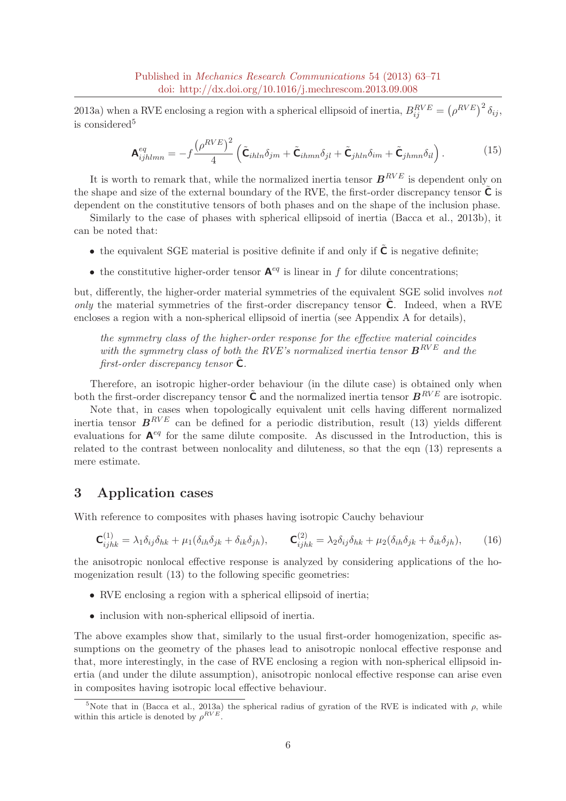2013a) when a RVE enclosing a region with a spherical ellipsoid of inertia,  $B_{ij}^{RVE} = (\rho^{RVE})^2 \delta_{ij}$ , is considered<sup>5</sup>

$$
\mathbf{A}^{eq}_{ijhlmn} = -f \frac{\left(\rho^{RVE}\right)^2}{4} \left(\tilde{\mathbf{C}}_{ihln}\delta_{jm} + \tilde{\mathbf{C}}_{ihmn}\delta_{jl} + \tilde{\mathbf{C}}_{jhln}\delta_{im} + \tilde{\mathbf{C}}_{jhmn}\delta_{il}\right).
$$
 (15)

It is worth to remark that, while the normalized inertia tensor  $B^{RVE}$  is dependent only on the shape and size of the external boundary of the RVE, the first-order discrepancy tensor  $\tilde{C}$  is dependent on the constitutive tensors of both phases and on the shape of the inclusion phase.

Similarly to the case of phases with spherical ellipsoid of inertia (Bacca et al., 2013b), it can be noted that:

- the equivalent SGE material is positive definite if and only if  $\tilde{\mathsf{C}}$  is negative definite;
- the constitutive higher-order tensor  $A^{eq}$  is linear in f for dilute concentrations;

but, differently, the higher-order material symmetries of the equivalent SGE solid involves not only the material symmetries of the first-order discrepancy tensor  $C$ . Indeed, when a RVE encloses a region with a non-spherical ellipsoid of inertia (see Appendix A for details),

the symmetry class of the higher-order response for the effective material coincides with the symmetry class of both the RVE's normalized inertia tensor  $B^{RVE}$  and the first-order discrepancy tensor  $C$ .

Therefore, an isotropic higher-order behaviour (in the dilute case) is obtained only when both the first-order discrepancy tensor  $\tilde{C}$  and the normalized inertia tensor  $B^{RVE}$  are isotropic.

Note that, in cases when topologically equivalent unit cells having different normalized inertia tensor  $B^{RVE}$  can be defined for a periodic distribution, result (13) yields different evaluations for  $A^{eq}$  for the same dilute composite. As discussed in the Introduction, this is related to the contrast between nonlocality and diluteness, so that the eqn (13) represents a mere estimate.

## 3 Application cases

With reference to composites with phases having isotropic Cauchy behaviour

$$
\mathbf{C}_{ijhk}^{(1)} = \lambda_1 \delta_{ij} \delta_{hk} + \mu_1 (\delta_{ih} \delta_{jk} + \delta_{ik} \delta_{jh}), \qquad \mathbf{C}_{ijhk}^{(2)} = \lambda_2 \delta_{ij} \delta_{hk} + \mu_2 (\delta_{ih} \delta_{jk} + \delta_{ik} \delta_{jh}), \qquad (16)
$$

the anisotropic nonlocal effective response is analyzed by considering applications of the homogenization result (13) to the following specific geometries:

- RVE enclosing a region with a spherical ellipsoid of inertia;
- inclusion with non-spherical ellipsoid of inertia.

The above examples show that, similarly to the usual first-order homogenization, specific assumptions on the geometry of the phases lead to anisotropic nonlocal effective response and that, more interestingly, in the case of RVE enclosing a region with non-spherical ellipsoid inertia (and under the dilute assumption), anisotropic nonlocal effective response can arise even in composites having isotropic local effective behaviour.

<sup>&</sup>lt;sup>5</sup>Note that in (Bacca et al., 2013a) the spherical radius of gyration of the RVE is indicated with  $\rho$ , while within this article is denoted by  $\rho^{RVE}$ .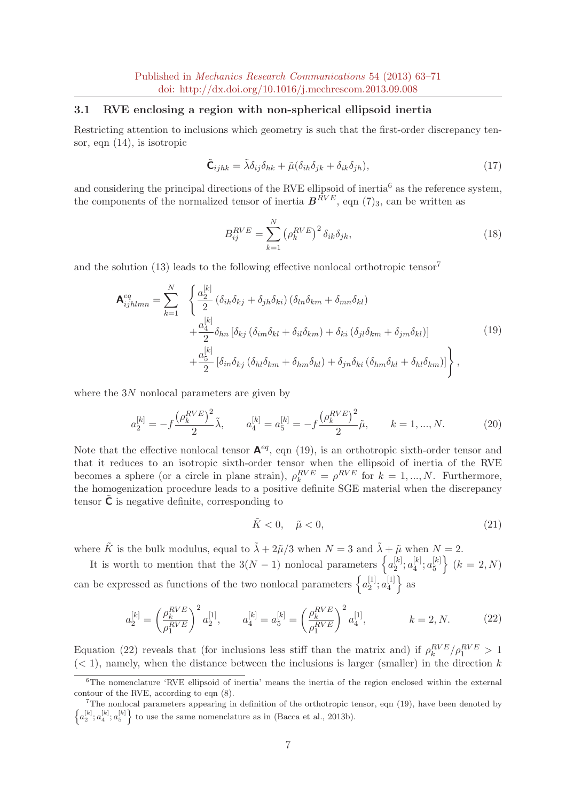#### 3.1 RVE enclosing a region with non-spherical ellipsoid inertia

Restricting attention to inclusions which geometry is such that the first-order discrepancy tensor, eqn (14), is isotropic

$$
\tilde{\mathbf{C}}_{ijhk} = \tilde{\lambda}\delta_{ij}\delta_{hk} + \tilde{\mu}(\delta_{ih}\delta_{jk} + \delta_{ik}\delta_{jh}),\tag{17}
$$

and considering the principal directions of the RVE ellipsoid of inertia<sup>6</sup> as the reference system, the components of the normalized tensor of inertia  $B^{RVE}$ , eqn (7)<sub>3</sub>, can be written as

$$
B_{ij}^{RVE} = \sum_{k=1}^{N} \left(\rho_k^{RVE}\right)^2 \delta_{ik}\delta_{jk},\tag{18}
$$

and the solution  $(13)$  leads to the following effective nonlocal orthotropic tensor<sup>7</sup>

$$
\mathbf{A}_{ijklmn}^{eq} = \sum_{k=1}^{N} \left\{ \frac{a_2^{[k]}}{2} (\delta_{ih}\delta_{kj} + \delta_{jh}\delta_{ki}) (\delta_{ln}\delta_{km} + \delta_{mn}\delta_{kl}) + \frac{a_4^{[k]}}{2} \delta_{hn} [\delta_{kj} (\delta_{im}\delta_{kl} + \delta_{il}\delta_{km}) + \delta_{ki} (\delta_{jl}\delta_{km} + \delta_{jm}\delta_{kl}) + \frac{a_5^{[k]}}{2} [\delta_{in}\delta_{kj} (\delta_{hl}\delta_{km} + \delta_{hm}\delta_{kl}) + \delta_{jn}\delta_{ki} (\delta_{hm}\delta_{kl} + \delta_{hl}\delta_{km})] \right\},
$$
\n(19)

where the 3N nonlocal parameters are given by

$$
a_2^{[k]} = -f \frac{\left(\rho_k^{RVE}\right)^2}{2} \tilde{\lambda}, \qquad a_4^{[k]} = a_5^{[k]} = -f \frac{\left(\rho_k^{RVE}\right)^2}{2} \tilde{\mu}, \qquad k = 1, ..., N. \tag{20}
$$

Note that the effective nonlocal tensor  $\mathbf{A}^{eq}$ , eqn (19), is an orthotropic sixth-order tensor and that it reduces to an isotropic sixth-order tensor when the ellipsoid of inertia of the RVE becomes a sphere (or a circle in plane strain),  $\rho_k^{RVE} = \rho^{RVE}$  for  $k = 1, ..., N$ . Furthermore, the homogenization procedure leads to a positive definite SGE material when the discrepancy tensor  $\mathsf C$  is negative definite, corresponding to

$$
\tilde{K} < 0, \quad \tilde{\mu} < 0,\tag{21}
$$

where  $\tilde{K}$  is the bulk modulus, equal to  $\tilde{\lambda} + 2\tilde{\mu}/3$  when  $N = 3$  and  $\tilde{\lambda} + \tilde{\mu}$  when  $N = 2$ .

It is worth to mention that the  $3(N-1)$  nonlocal parameters  $\left\{a_2^{[k]}\right\}$  $_{2}^{[k]};a_{4}^{[k]}$  $\left[ k \right]_4$ ;  $a_5^{[k]}$  $\{k\}\} (k = 2, N)$ can be expressed as functions of the two nonlocal parameters  $\{a_2^{[1]}$  $\genfrac{[}{]}{0pt}{}{1}{2};a_4^{[1]}$  $\begin{bmatrix} 1 \\ 4 \end{bmatrix}$  as

$$
a_2^{[k]} = \left(\frac{\rho_k^{RVE}}{\rho_1^{RVE}}\right)^2 a_2^{[1]}, \qquad a_4^{[k]} = a_5^{[k]} = \left(\frac{\rho_k^{RVE}}{\rho_1^{RVE}}\right)^2 a_4^{[1]}, \qquad k = 2, N. \tag{22}
$$

Equation (22) reveals that (for inclusions less stiff than the matrix and) if  $\rho_k^{RVE}/\rho_1^{RVE} > 1$  $(< 1$ ), namely, when the distance between the inclusions is larger (smaller) in the direction k

 ${}^{6}$ The nomenclature 'RVE ellipsoid of inertia' means the inertia of the region enclosed within the external contour of the RVE, according to eqn (8).

 $7$ The nonlocal parameters appearing in definition of the orthotropic tensor, eqn (19), have been denoted by  $\left\{a_2^{[k]}; a_4^{[k]}; a_5^{[k]}\right\}$  to use the same nomenclature as in (Bacca et al., 2013b).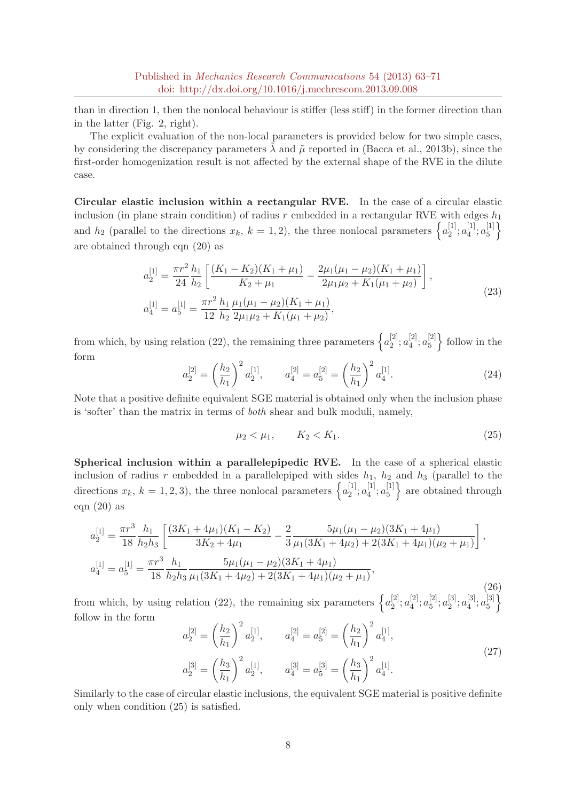than in direction 1, then the nonlocal behaviour is stiffer (less stiff) in the former direction than in the latter (Fig. 2, right).

The explicit evaluation of the non-local parameters is provided below for two simple cases, by considering the discrepancy parameters  $\lambda$  and  $\tilde{\mu}$  reported in (Bacca et al., 2013b), since the first-order homogenization result is not affected by the external shape of the RVE in the dilute case.

Circular elastic inclusion within a rectangular RVE. In the case of a circular elastic inclusion (in plane strain condition) of radius r embedded in a rectangular RVE with edges  $h_1$ and  $h_2$  (parallel to the directions  $x_k$ ,  $k = 1, 2$ ), the three nonlocal parameters  $\left\{a_2^{[1]} \right\}$  $\left[ \frac{1}{2}\right]$ ;  $a_4^{\left[ 1\right]}$  $\left[ \frac{1}{4}, a_{5}^{[1]}\right]$  $\begin{bmatrix} 1 \\ 5 \end{bmatrix}$ are obtained through eqn (20) as

$$
a_2^{[1]} = \frac{\pi r^2}{24} \frac{h_1}{h_2} \left[ \frac{(K_1 - K_2)(K_1 + \mu_1)}{K_2 + \mu_1} - \frac{2\mu_1(\mu_1 - \mu_2)(K_1 + \mu_1)}{2\mu_1\mu_2 + K_1(\mu_1 + \mu_2)} \right],
$$
  
\n
$$
a_4^{[1]} = a_5^{[1]} = \frac{\pi r^2}{12} \frac{h_1}{h_2} \frac{\mu_1(\mu_1 - \mu_2)(K_1 + \mu_1)}{2\mu_1\mu_2 + K_1(\mu_1 + \mu_2)},
$$
\n(23)

from which, by using relation (22), the remaining three parameters  $\{a_2^{[2]}$  $\genfrac{[}{]}{0pt}{}{2}{2};a_{4}^{[2]}$  $\left[ 2\right] _{4};a_{5}^{[2]}$  $\binom{[2]}{5}$  follow in the form

$$
a_2^{[2]} = \left(\frac{h_2}{h_1}\right)^2 a_2^{[1]}, \qquad a_4^{[2]} = a_5^{[2]} = \left(\frac{h_2}{h_1}\right)^2 a_4^{[1]}.
$$
\n(24)

Note that a positive definite equivalent SGE material is obtained only when the inclusion phase is 'softer' than the matrix in terms of both shear and bulk moduli, namely,

$$
\mu_2 < \mu_1, \qquad K_2 < K_1. \tag{25}
$$

Spherical inclusion within a parallelepipedic RVE. In the case of a spherical elastic inclusion of radius r embedded in a parallelepiped with sides  $h_1$ ,  $h_2$  and  $h_3$  (parallel to the directions  $x_k$ ,  $k = 1, 2, 3$ , the three nonlocal parameters  $\left\{a_2^{[1]} \right\}$  $\binom{[1]}{2}$ ;  $a_4^{[1]}$  $a_4^{[1]}$ ;  $a_5^{[1]}$  $\{5\}$  are obtained through eqn  $(20)$  as

$$
a_2^{[1]} = \frac{\pi r^3}{18} \frac{h_1}{h_2 h_3} \left[ \frac{(3K_1 + 4\mu_1)(K_1 - K_2)}{3K_2 + 4\mu_1} - \frac{2}{3} \frac{5\mu_1(\mu_1 - \mu_2)(3K_1 + 4\mu_1)}{\mu_1(3K_1 + 4\mu_2) + 2(3K_1 + 4\mu_1)(\mu_2 + \mu_1)} \right],
$$
  
\n
$$
a_4^{[1]} = a_5^{[1]} = \frac{\pi r^3}{18} \frac{h_1}{h_2 h_3} \frac{5\mu_1(\mu_1 - \mu_2)(3K_1 + 4\mu_1)}{\mu_1(3K_1 + 4\mu_2) + 2(3K_1 + 4\mu_1)(\mu_2 + \mu_1)},
$$
\n(26)

from which, by using relation (22), the remaining six parameters  $\{a_2^{[2]}$  $\left[ 2\right] _{2};a_{4}^{\left[ 2\right] }$  $a_4^{[2]}$ ;  $a_5^{[2]}$  $\begin{bmatrix} 2 \ 5 \end{bmatrix}$ ;  $a_2^{\{3\}}$  $\left[ \frac{[3]}{2};a_{4}^{[3]}\right]$  $\left[ \begin{smallmatrix} 3\ 4 \end{smallmatrix} \right], a^{[3]}_5$  $\begin{bmatrix} 3 \\ 5 \end{bmatrix}$ follow in the form

$$
a_2^{[2]} = \left(\frac{h_2}{h_1}\right)^2 a_2^{[1]}, \qquad a_4^{[2]} = a_5^{[2]} = \left(\frac{h_2}{h_1}\right)^2 a_4^{[1]},
$$
  

$$
a_2^{[3]} = \left(\frac{h_3}{h_1}\right)^2 a_2^{[1]}, \qquad a_4^{[3]} = a_5^{[3]} = \left(\frac{h_3}{h_1}\right)^2 a_4^{[1]}.
$$
 (27)

Similarly to the case of circular elastic inclusions, the equivalent SGE material is positive definite only when condition (25) is satisfied.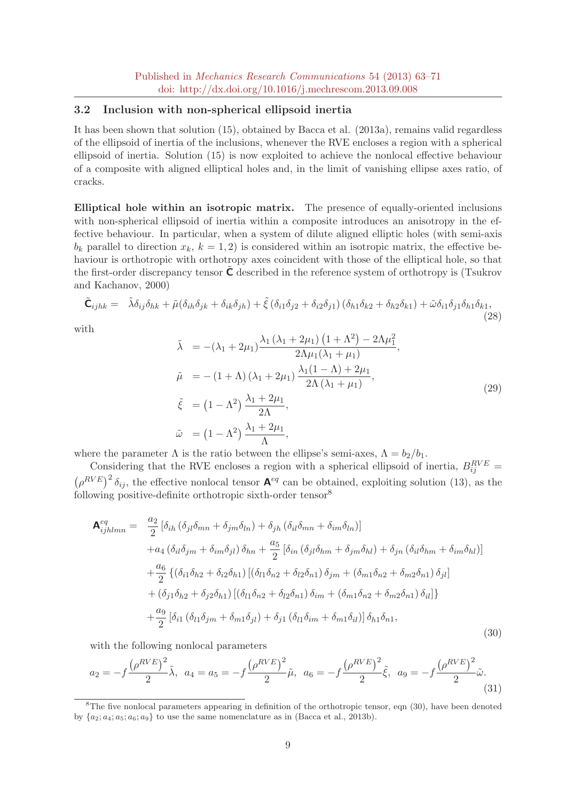#### 3.2 Inclusion with non-spherical ellipsoid inertia

It has been shown that solution (15), obtained by Bacca et al. (2013a), remains valid regardless of the ellipsoid of inertia of the inclusions, whenever the RVE encloses a region with a spherical ellipsoid of inertia. Solution (15) is now exploited to achieve the nonlocal effective behaviour of a composite with aligned elliptical holes and, in the limit of vanishing ellipse axes ratio, of cracks.

Elliptical hole within an isotropic matrix. The presence of equally-oriented inclusions with non-spherical ellipsoid of inertia within a composite introduces an anisotropy in the effective behaviour. In particular, when a system of dilute aligned elliptic holes (with semi-axis  $b_k$  parallel to direction  $x_k$ ,  $k = 1, 2$ ) is considered within an isotropic matrix, the effective behaviour is orthotropic with orthotropy axes coincident with those of the elliptical hole, so that the first-order discrepancy tensor  $C$  described in the reference system of orthotropy is (Tsukrov and Kachanov, 2000)

$$
\tilde{\mathbf{C}}_{ijhk} = \tilde{\lambda}\delta_{ij}\delta_{hk} + \tilde{\mu}(\delta_{ih}\delta_{jk} + \delta_{ik}\delta_{jh}) + \tilde{\xi}(\delta_{i1}\delta_{j2} + \delta_{i2}\delta_{j1})\left(\delta_{h1}\delta_{k2} + \delta_{h2}\delta_{k1}\right) + \tilde{\omega}\delta_{i1}\delta_{j1}\delta_{h1}\delta_{k1},\tag{28}
$$

with

$$
\tilde{\lambda} = -(\lambda_1 + 2\mu_1) \frac{\lambda_1 (\lambda_1 + 2\mu_1) (1 + \Lambda^2) - 2\Lambda \mu_1^2}{2\Lambda \mu_1 (\lambda_1 + \mu_1)},
$$
\n
$$
\tilde{\mu} = -(1 + \Lambda) (\lambda_1 + 2\mu_1) \frac{\lambda_1 (1 - \Lambda) + 2\mu_1}{2\Lambda (\lambda_1 + \mu_1)},
$$
\n
$$
\tilde{\xi} = (1 - \Lambda^2) \frac{\lambda_1 + 2\mu_1}{2\Lambda},
$$
\n
$$
\tilde{\omega} = (1 - \Lambda^2) \frac{\lambda_1 + 2\mu_1}{\Lambda},
$$
\n(29)

where the parameter  $\Lambda$  is the ratio between the ellipse's semi-axes,  $\Lambda = b_2/b_1$ .

Considering that the RVE encloses a region with a spherical ellipsoid of inertia,  $B_{ij}^{RVE}$  =  $(\rho^{RVE})^2 \delta_{ij}$ , the effective nonlocal tensor  $\mathbf{A}^{eq}$  can be obtained, exploiting solution (13), as the following positive-definite orthotropic sixth-order tensor<sup>8</sup>

$$
\mathbf{A}_{ijhlmn}^{eq} = \frac{a_2}{2} [\delta_{ih} (\delta_{jl}\delta_{mn} + \delta_{jm}\delta_{ln}) + \delta_{jh} (\delta_{il}\delta_{mn} + \delta_{im}\delta_{ln})]
$$
  
+
$$
a_4 (\delta_{il}\delta_{jm} + \delta_{im}\delta_{jl}) \delta_{hn} + \frac{a_5}{2} [\delta_{in} (\delta_{jl}\delta_{hm} + \delta_{jm}\delta_{hl}) + \delta_{jn} (\delta_{il}\delta_{hm} + \delta_{im}\delta_{hl})]
$$
  
+
$$
\frac{a_6}{2} \{ (\delta_{i1}\delta_{h2} + \delta_{i2}\delta_{h1}) [(\delta_{l1}\delta_{n2} + \delta_{l2}\delta_{n1}) \delta_{jm} + (\delta_{m1}\delta_{n2} + \delta_{m2}\delta_{n1}) \delta_{jl}]
$$
  
+
$$
(\delta_{j1}\delta_{h2} + \delta_{j2}\delta_{h1}) [(\delta_{l1}\delta_{n2} + \delta_{l2}\delta_{n1}) \delta_{im} + (\delta_{m1}\delta_{n2} + \delta_{m2}\delta_{n1}) \delta_{il}] \}
$$
  
+
$$
\frac{a_9}{2} [\delta_{i1} (\delta_{l1}\delta_{jm} + \delta_{m1}\delta_{jl}) + \delta_{j1} (\delta_{l1}\delta_{im} + \delta_{m1}\delta_{il})] \delta_{h1}\delta_{n1},
$$
(30)

with the following nonlocal parameters

$$
a_2 = -f \frac{\left(\rho^{RVE}\right)^2}{2} \tilde{\lambda}, \ \ a_4 = a_5 = -f \frac{\left(\rho^{RVE}\right)^2}{2} \tilde{\mu}, \ \ a_6 = -f \frac{\left(\rho^{RVE}\right)^2}{2} \tilde{\xi}, \ \ a_9 = -f \frac{\left(\rho^{RVE}\right)^2}{2} \tilde{\omega}.
$$
\n(31)

<sup>&</sup>lt;sup>8</sup>The five nonlocal parameters appearing in definition of the orthotropic tensor, eqn (30), have been denoted by  ${a_2; a_4; a_5; a_6; a_9}$  to use the same nomenclature as in (Bacca et al., 2013b).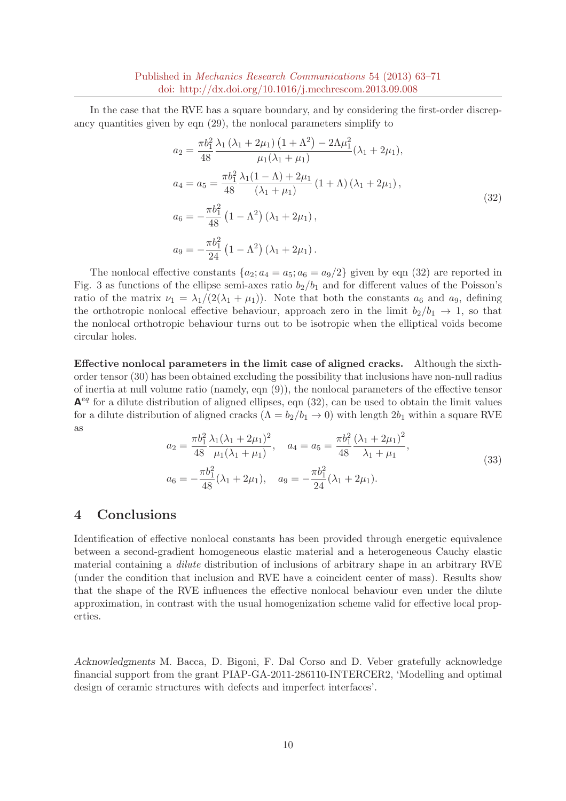In the case that the RVE has a square boundary, and by considering the first-order discrepancy quantities given by eqn (29), the nonlocal parameters simplify to

$$
a_2 = \frac{\pi b_1^2}{48} \frac{\lambda_1 (\lambda_1 + 2\mu_1) (1 + \Lambda^2) - 2\Lambda \mu_1^2}{\mu_1 (\lambda_1 + \mu_1)} (\lambda_1 + 2\mu_1),
$$
  
\n
$$
a_4 = a_5 = \frac{\pi b_1^2}{48} \frac{\lambda_1 (1 - \Lambda) + 2\mu_1}{(\lambda_1 + \mu_1)} (1 + \Lambda) (\lambda_1 + 2\mu_1),
$$
  
\n
$$
a_6 = -\frac{\pi b_1^2}{48} (1 - \Lambda^2) (\lambda_1 + 2\mu_1),
$$
  
\n
$$
a_9 = -\frac{\pi b_1^2}{24} (1 - \Lambda^2) (\lambda_1 + 2\mu_1).
$$
\n(32)

The nonlocal effective constants  $\{a_2; a_4 = a_5; a_6 = a_9/2\}$  given by eqn (32) are reported in Fig. 3 as functions of the ellipse semi-axes ratio  $b_2/b_1$  and for different values of the Poisson's ratio of the matrix  $\nu_1 = \lambda_1/(2(\lambda_1 + \mu_1))$ . Note that both the constants  $a_6$  and  $a_9$ , defining the orthotropic nonlocal effective behaviour, approach zero in the limit  $b_2/b_1 \rightarrow 1$ , so that the nonlocal orthotropic behaviour turns out to be isotropic when the elliptical voids become circular holes.

Effective nonlocal parameters in the limit case of aligned cracks. Although the sixthorder tensor (30) has been obtained excluding the possibility that inclusions have non-null radius of inertia at null volume ratio (namely, eqn (9)), the nonlocal parameters of the effective tensor  $A<sup>eq</sup>$  for a dilute distribution of aligned ellipses, eqn (32), can be used to obtain the limit values for a dilute distribution of aligned cracks  $(\Lambda = b_2/b_1 \rightarrow 0)$  with length  $2b_1$  within a square RVE as

$$
a_2 = \frac{\pi b_1^2}{48} \frac{\lambda_1 (\lambda_1 + 2\mu_1)^2}{\mu_1 (\lambda_1 + \mu_1)}, \quad a_4 = a_5 = \frac{\pi b_1^2}{48} \frac{(\lambda_1 + 2\mu_1)^2}{\lambda_1 + \mu_1},
$$
  
\n
$$
a_6 = -\frac{\pi b_1^2}{48} (\lambda_1 + 2\mu_1), \quad a_9 = -\frac{\pi b_1^2}{24} (\lambda_1 + 2\mu_1).
$$
\n(33)

## 4 Conclusions

Identification of effective nonlocal constants has been provided through energetic equivalence between a second-gradient homogeneous elastic material and a heterogeneous Cauchy elastic material containing a *dilute* distribution of inclusions of arbitrary shape in an arbitrary RVE (under the condition that inclusion and RVE have a coincident center of mass). Results show that the shape of the RVE influences the effective nonlocal behaviour even under the dilute approximation, in contrast with the usual homogenization scheme valid for effective local properties.

Acknowledgments M. Bacca, D. Bigoni, F. Dal Corso and D. Veber gratefully acknowledge financial support from the grant PIAP-GA-2011-286110-INTERCER2, 'Modelling and optimal design of ceramic structures with defects and imperfect interfaces'.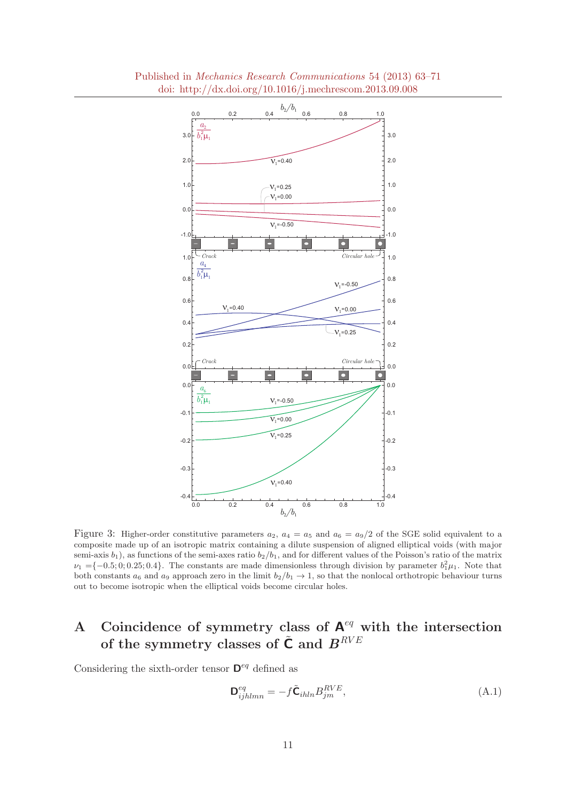

Figure 3: Higher-order constitutive parameters  $a_2$ ,  $a_4 = a_5$  and  $a_6 = a_9/2$  of the SGE solid equivalent to a composite made up of an isotropic matrix containing a dilute suspension of aligned elliptical voids (with major semi-axis  $b_1$ ), as functions of the semi-axes ratio  $b_2/b_1$ , and for different values of the Poisson's ratio of the matrix  $\nu_1 = \{-0.5, 0, 0.25, 0.4\}$ . The constants are made dimensionless through division by parameter  $b_1^2 \mu_1$ . Note that both constants  $a_6$  and  $a_9$  approach zero in the limit  $b_2/b_1 \rightarrow 1$ , so that the nonlocal orthotropic behaviour turns out to become isotropic when the elliptical voids become circular holes.

## A Coincidence of symmetry class of  $A^{eq}$  with the intersection of the symmetry classes of  $\tilde{\textbf{C}}$  and  $\boldsymbol{B}^{RVE}$

Considering the sixth-order tensor  $\mathbf{D}^{eq}$  defined as

$$
\mathbf{D}_{ijhlmn}^{eq} = -f\tilde{\mathbf{C}}_{ihln}B_{jm}^{RVE},\tag{A.1}
$$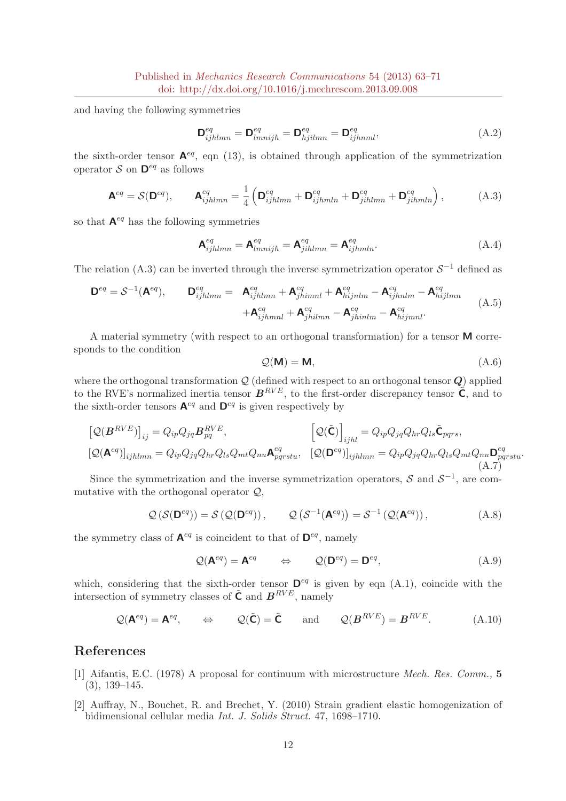and having the following symmetries

$$
\mathbf{D}_{ijhlmn}^{eq} = \mathbf{D}_{lmnijh}^{eq} = \mathbf{D}_{hjilmn}^{eq} = \mathbf{D}_{ijhnml}^{eq},
$$
\n(A.2)

the sixth-order tensor  $A^{eq}$ , eqn (13), is obtained through application of the symmetrization operator  $S$  on  $\mathbf{D}^{eq}$  as follows

$$
\mathbf{A}^{eq} = \mathcal{S}(\mathbf{D}^{eq}), \qquad \mathbf{A}_{ijhlmn}^{eq} = \frac{1}{4} \left( \mathbf{D}_{ijhlmn}^{eq} + \mathbf{D}_{ijhmln}^{eq} + \mathbf{D}_{jihlmn}^{eq} + \mathbf{D}_{jihmln}^{eq} \right), \tag{A.3}
$$

so that  $A^{eq}$  has the following symmetries

$$
\mathbf{A}_{ijhlmn}^{eq} = \mathbf{A}_{lmnijh}^{eq} = \mathbf{A}_{jihlmn}^{eq} = \mathbf{A}_{ijhmln}^{eq}.
$$
 (A.4)

The relation (A.3) can be inverted through the inverse symmetrization operator  $S^{-1}$  defined as

$$
\mathbf{D}^{eq} = \mathcal{S}^{-1}(\mathbf{A}^{eq}), \qquad \mathbf{D}_{ijhlmn}^{eq} = \mathbf{A}_{ijhlmn}^{eq} + \mathbf{A}_{jhimnl}^{eq} + \mathbf{A}_{hijnlm}^{eq} - \mathbf{A}_{ijhnlm}^{eq} - \mathbf{A}_{hijlmn}^{eq}
$$
\n
$$
+ \mathbf{A}_{ijhmnl}^{eq} + \mathbf{A}_{jhimnl}^{eq} - \mathbf{A}_{jhimlm}^{eq} - \mathbf{A}_{hijmnl}^{eq}.
$$
\n(A.5)

A material symmetry (with respect to an orthogonal transformation) for a tensor M corresponds to the condition

$$
Q(\mathbf{M}) = \mathbf{M},\tag{A.6}
$$

where the orthogonal transformation  $Q$  (defined with respect to an orthogonal tensor  $Q$ ) applied to the RVE's normalized inertia tensor  $B^{RVE}$ , to the first-order discrepancy tensor  $\tilde{C}$ , and to the sixth-order tensors  $\mathbf{A}^{eq}$  and  $\mathbf{D}^{eq}$  is given respectively by

$$
\begin{aligned}\n\left[\mathcal{Q}(\mathbf{B}^{RVE})\right]_{ij} &= Q_{ip}Q_{jq}\mathbf{B}_{pq}^{RVE}, & \left[\mathcal{Q}(\tilde{\mathbf{C}})\right]_{ijhl} &= Q_{ip}Q_{jq}Q_{hr}Q_{ls}\tilde{\mathbf{C}}_{pqrs}, \\
\left[\mathcal{Q}(\mathbf{A}^{eq})\right]_{ijhlmn} &= Q_{ip}Q_{jq}Q_{hr}Q_{ls}Q_{mt}Q_{nl}\mathbf{A}_{pqrstu}^{eq}, & \left[\mathcal{Q}(\mathbf{D}^{eq})\right]_{ijhlmn} &= Q_{ip}Q_{jq}Q_{hr}Q_{ls}Q_{mt}Q_{nu}\mathbf{D}_{pqrstu}^{eq}.\n\end{aligned}
$$
\n(A.7)

Since the symmetrization and the inverse symmetrization operators,  $S$  and  $S^{-1}$ , are commutative with the orthogonal operator  $Q$ ,

$$
\mathcal{Q}\left(\mathcal{S}(\mathbf{D}^{eq})\right) = \mathcal{S}\left(\mathcal{Q}(\mathbf{D}^{eq})\right), \qquad \mathcal{Q}\left(\mathcal{S}^{-1}(\mathbf{A}^{eq})\right) = \mathcal{S}^{-1}\left(\mathcal{Q}(\mathbf{A}^{eq})\right), \tag{A.8}
$$

the symmetry class of  $\mathbf{A}^{eq}$  is coincident to that of  $\mathbf{D}^{eq}$ , namely

$$
Q(\mathbf{A}^{eq}) = \mathbf{A}^{eq} \qquad \Leftrightarrow \qquad Q(\mathbf{D}^{eq}) = \mathbf{D}^{eq}, \tag{A.9}
$$

which, considering that the sixth-order tensor  $\mathbf{D}^{eq}$  is given by eqn (A.1), coincide with the intersection of symmetry classes of  $\tilde{C}$  and  $B^{RVE}$ , namely

$$
Q(\mathbf{A}^{eq}) = \mathbf{A}^{eq}, \qquad \Leftrightarrow \qquad Q(\tilde{\mathbf{C}}) = \tilde{\mathbf{C}} \qquad \text{and} \qquad Q(\mathbf{B}^{RVE}) = \mathbf{B}^{RVE}.
$$
 (A.10)

### References

- [1] Aifantis, E.C. (1978) A proposal for continuum with microstructure Mech. Res. Comm., 5 (3), 139–145.
- [2] Auffray, N., Bouchet, R. and Brechet, Y. (2010) Strain gradient elastic homogenization of bidimensional cellular media Int. J. Solids Struct. 47, 1698–1710.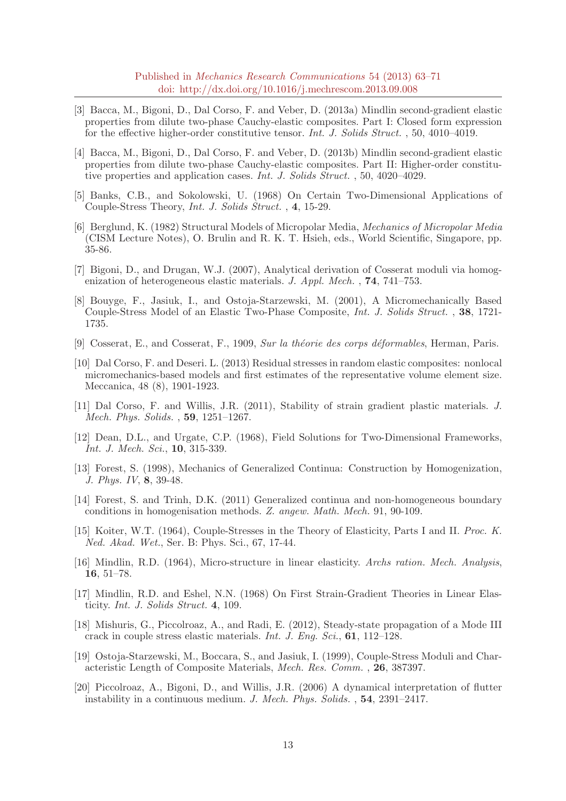Published in Mechanics Research Communications 54 (2013) 63–71 doi: http://dx.doi.org/10.1016/j.mechrescom.2013.09.008

- [3] Bacca, M., Bigoni, D., Dal Corso, F. and Veber, D. (2013a) Mindlin second-gradient elastic properties from dilute two-phase Cauchy-elastic composites. Part I: Closed form expression for the effective higher-order constitutive tensor. Int. J. Solids Struct. , 50, 4010–4019.
- [4] Bacca, M., Bigoni, D., Dal Corso, F. and Veber, D. (2013b) Mindlin second-gradient elastic properties from dilute two-phase Cauchy-elastic composites. Part II: Higher-order constitutive properties and application cases. Int. J. Solids Struct. , 50, 4020–4029.
- [5] Banks, C.B., and Sokolowski, U. (1968) On Certain Two-Dimensional Applications of Couple-Stress Theory, Int. J. Solids Struct. , 4, 15-29.
- [6] Berglund, K. (1982) Structural Models of Micropolar Media, Mechanics of Micropolar Media (CISM Lecture Notes), O. Brulin and R. K. T. Hsieh, eds., World Scientific, Singapore, pp. 35-86.
- [7] Bigoni, D., and Drugan, W.J. (2007), Analytical derivation of Cosserat moduli via homogenization of heterogeneous elastic materials. J. Appl. Mech.,  $74, 741-753$ .
- [8] Bouyge, F., Jasiuk, I., and Ostoja-Starzewski, M. (2001), A Micromechanically Based Couple-Stress Model of an Elastic Two-Phase Composite, Int. J. Solids Struct. , 38, 1721- 1735.
- [9] Cosserat, E., and Cosserat, F., 1909, Sur la théorie des corps déformables, Herman, Paris.
- [10] Dal Corso, F. and Deseri. L. (2013) Residual stresses in random elastic composites: nonlocal micromechanics-based models and first estimates of the representative volume element size. Meccanica, 48 (8), 1901-1923.
- [11] Dal Corso, F. and Willis, J.R. (2011), Stability of strain gradient plastic materials. J. Mech. Phys. Solids. , 59, 1251–1267.
- [12] Dean, D.L., and Urgate, C.P. (1968), Field Solutions for Two-Dimensional Frameworks, Int. J. Mech. Sci., **10**, 315-339.
- [13] Forest, S. (1998), Mechanics of Generalized Continua: Construction by Homogenization, J. Phys. IV, 8, 39-48.
- [14] Forest, S. and Trinh, D.K. (2011) Generalized continua and non-homogeneous boundary conditions in homogenisation methods. Z. angew. Math. Mech. 91, 90-109.
- [15] Koiter, W.T. (1964), Couple-Stresses in the Theory of Elasticity, Parts I and II. Proc. K. Ned. Akad. Wet., Ser. B: Phys. Sci., 67, 17-44.
- [16] Mindlin, R.D. (1964), Micro-structure in linear elasticity. Archs ration. Mech. Analysis, 16, 51–78.
- [17] Mindlin, R.D. and Eshel, N.N. (1968) On First Strain-Gradient Theories in Linear Elasticity. Int. J. Solids Struct. 4, 109.
- [18] Mishuris, G., Piccolroaz, A., and Radi, E. (2012), Steady-state propagation of a Mode III crack in couple stress elastic materials. Int. J. Eng. Sci., 61, 112–128.
- [19] Ostoja-Starzewski, M., Boccara, S., and Jasiuk, I. (1999), Couple-Stress Moduli and Characteristic Length of Composite Materials, Mech. Res. Comm. , 26, 387397.
- [20] Piccolroaz, A., Bigoni, D., and Willis, J.R. (2006) A dynamical interpretation of flutter instability in a continuous medium. J. Mech. Phys. Solids. , 54, 2391–2417.